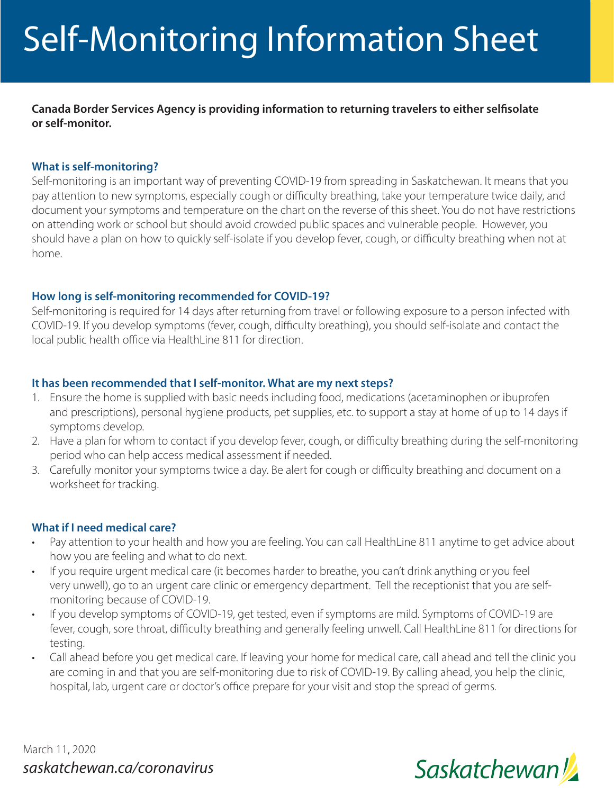# Self-Monitoring Information Sheet

**Canada Border Services Agency is providing information to returning travelers to either selfisolate or self-monitor.**

#### **What is self-monitoring?**

Self-monitoring is an important way of preventing COVID-19 from spreading in Saskatchewan. It means that you pay attention to new symptoms, especially cough or difficulty breathing, take your temperature twice daily, and document your symptoms and temperature on the chart on the reverse of this sheet. You do not have restrictions on attending work or school but should avoid crowded public spaces and vulnerable people. However, you should have a plan on how to quickly self-isolate if you develop fever, cough, or difficulty breathing when not at home.

#### **How long is self-monitoring recommended for COVID-19?**

Self-monitoring is required for 14 days after returning from travel or following exposure to a person infected with COVID-19. If you develop symptoms (fever, cough, difficulty breathing), you should self-isolate and contact the local public health office via HealthLine 811 for direction.

#### **It has been recommended that I self-monitor. What are my next steps?**

- 1. Ensure the home is supplied with basic needs including food, medications (acetaminophen or ibuprofen and prescriptions), personal hygiene products, pet supplies, etc. to support a stay at home of up to 14 days if symptoms develop.
- 2. Have a plan for whom to contact if you develop fever, cough, or difficulty breathing during the self-monitoring period who can help access medical assessment if needed.
- 3. Carefully monitor your symptoms twice a day. Be alert for cough or difficulty breathing and document on a worksheet for tracking.

#### **What if I need medical care?**

- Pay attention to your health and how you are feeling. You can call HealthLine 811 anytime to get advice about how you are feeling and what to do next.
- If you require urgent medical care (it becomes harder to breathe, you can't drink anything or you feel very unwell), go to an urgent care clinic or emergency department. Tell the receptionist that you are selfmonitoring because of COVID-19.
- If you develop symptoms of COVID-19, get tested, even if symptoms are mild. Symptoms of COVID-19 are fever, cough, sore throat, difficulty breathing and generally feeling unwell. Call HealthLine 811 for directions for testing.
- Call ahead before you get medical care. If leaving your home for medical care, call ahead and tell the clinic you are coming in and that you are self-monitoring due to risk of COVID-19. By calling ahead, you help the clinic, hospital, lab, urgent care or doctor's office prepare for your visit and stop the spread of germs.

March 11, 2020 *saskatchewan.ca/coronavirus*